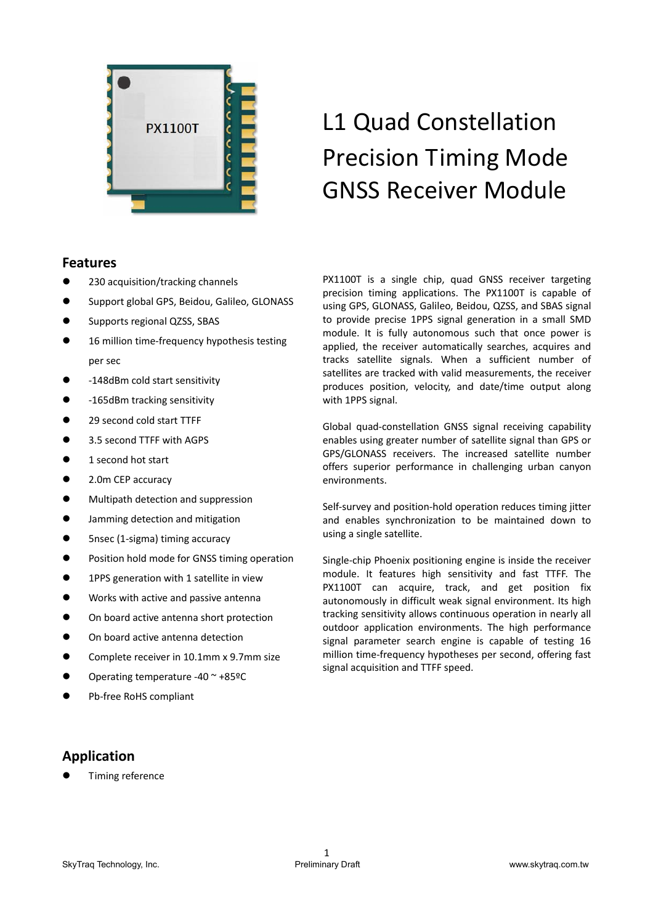

# L1 Quad Constellation Precision Timing Mode GNSS Receiver Module

# **Features**

- 230 acquisition/tracking channels
- Support global GPS, Beidou, Galileo, GLONASS
- Supports regional QZSS, SBAS
- 16 million time-frequency hypothesis testing per sec
- ‐148dBm cold start sensitivity
- -165dBm tracking sensitivity
- 29 second cold start TTFF
- 3.5 second TTFF with AGPS
- 1 second hot start
- 2.0m CEP accuracy
- $\bullet$  Multipath detection and suppression
- Jamming detection and mitigation
- 5nsec (1-sigma) timing accuracy
- Position hold mode for GNSS timing operation
- **•** 1PPS generation with 1 satellite in view
- Works with active and passive antenna
- On board active antenna short protection
- $\bullet$  On board active antenna detection
- Complete receiver in 10.1mm x 9.7mm size
- Operating temperature ‐40 ~ +85ºC
- Pb‐free RoHS compliant

PX1100T is a single chip, quad GNSS receiver targeting precision timing applications. The PX1100T is capable of using GPS, GLONASS, Galileo, Beidou, QZSS, and SBAS signal to provide precise 1PPS signal generation in a small SMD module. It is fully autonomous such that once power is applied, the receiver automatically searches, acquires and tracks satellite signals. When a sufficient number of satellites are tracked with valid measurements, the receiver produces position, velocity, and date/time output along with 1PPS signal.

Global quad‐constellation GNSS signal receiving capability enables using greater number of satellite signal than GPS or GPS/GLONASS receivers. The increased satellite number offers superior performance in challenging urban canyon environments.

Self-survey and position-hold operation reduces timing jitter and enables synchronization to be maintained down to using a single satellite.

Single-chip Phoenix positioning engine is inside the receiver module. It features high sensitivity and fast TTFF. The PX1100T can acquire, track, and get position fix autonomously in difficult weak signal environment. Its high tracking sensitivity allows continuous operation in nearly all outdoor application environments. The high performance signal parameter search engine is capable of testing 16 million time‐frequency hypotheses per second, offering fast signal acquisition and TTFF speed.

# **Application**

Timing reference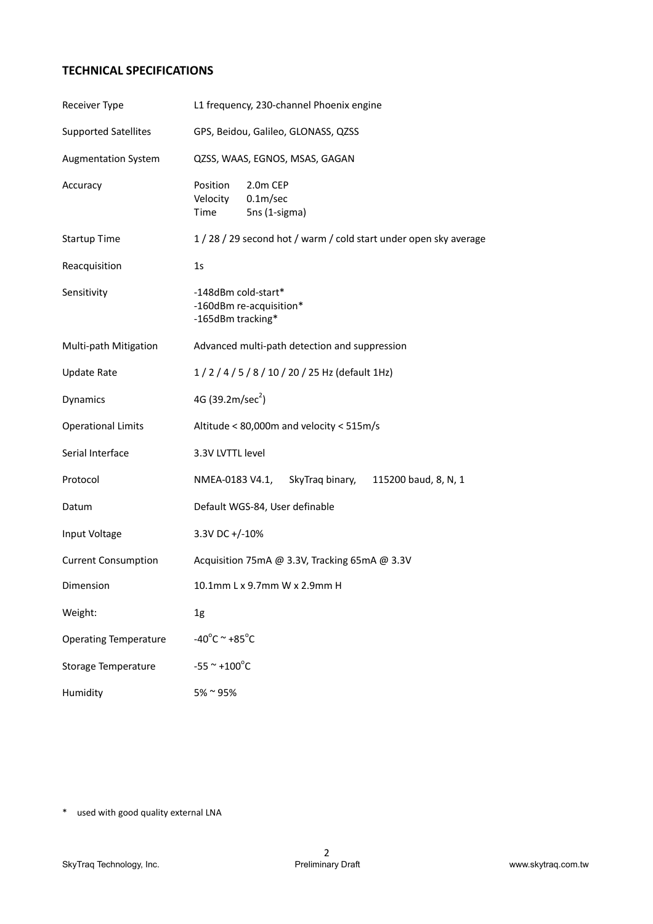# **TECHNICAL SPECIFICATIONS**

| Receiver Type                | L1 frequency, 230-channel Phoenix engine                                           |  |  |  |  |
|------------------------------|------------------------------------------------------------------------------------|--|--|--|--|
| <b>Supported Satellites</b>  | GPS, Beidou, Galileo, GLONASS, QZSS                                                |  |  |  |  |
| <b>Augmentation System</b>   | QZSS, WAAS, EGNOS, MSAS, GAGAN                                                     |  |  |  |  |
| Accuracy                     | Position<br>2.0m CEP<br>Velocity<br>0.1 <sub>m</sub> /sec<br>5ns (1-sigma)<br>Time |  |  |  |  |
| <b>Startup Time</b>          | 1 / 28 / 29 second hot / warm / cold start under open sky average                  |  |  |  |  |
| Reacquisition                | 1 <sub>S</sub>                                                                     |  |  |  |  |
| Sensitivity                  | -148dBm cold-start*<br>-160dBm re-acquisition*<br>-165dBm tracking*                |  |  |  |  |
| Multi-path Mitigation        | Advanced multi-path detection and suppression                                      |  |  |  |  |
| <b>Update Rate</b>           | 1/2/4/5/8/10/20/25 Hz (default 1Hz)                                                |  |  |  |  |
| Dynamics                     | 4G (39.2m/sec <sup>2</sup> )                                                       |  |  |  |  |
| <b>Operational Limits</b>    | Altitude < 80,000m and velocity < 515m/s                                           |  |  |  |  |
| Serial Interface             | 3.3V LVTTL level                                                                   |  |  |  |  |
| Protocol                     | NMEA-0183 V4.1,<br>SkyTraq binary, 115200 baud, 8, N, 1                            |  |  |  |  |
| Datum                        | Default WGS-84, User definable                                                     |  |  |  |  |
| Input Voltage                | 3.3V DC +/-10%                                                                     |  |  |  |  |
| <b>Current Consumption</b>   | Acquisition 75mA @ 3.3V, Tracking 65mA @ 3.3V                                      |  |  |  |  |
| Dimension                    | 10.1mm L x 9.7mm W x 2.9mm H                                                       |  |  |  |  |
| Weight:                      | 1g                                                                                 |  |  |  |  |
| <b>Operating Temperature</b> | $-40^{\circ}$ C ~ +85 $^{\circ}$ C                                                 |  |  |  |  |
| <b>Storage Temperature</b>   | $-55$ ~ +100°C                                                                     |  |  |  |  |
| Humidity                     | 5% ~ 95%                                                                           |  |  |  |  |

\* used with good quality external LNA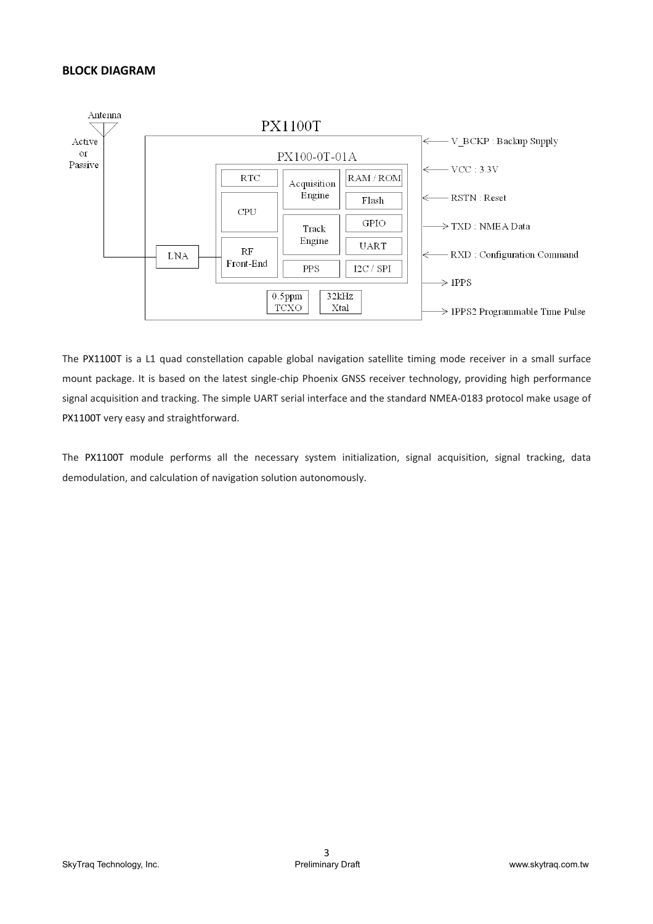# **BLOCK DIAGRAM**



The PX1100T is a L1 quad constellation capable global navigation satellite timing mode receiver in a small surface mount package. It is based on the latest single-chip Phoenix GNSS receiver technology, providing high performance signal acquisition and tracking. The simple UART serial interface and the standard NMEA‐0183 protocol make usage of PX1100T very easy and straightforward.

The PX1100T module performs all the necessary system initialization, signal acquisition, signal tracking, data demodulation, and calculation of navigation solution autonomously.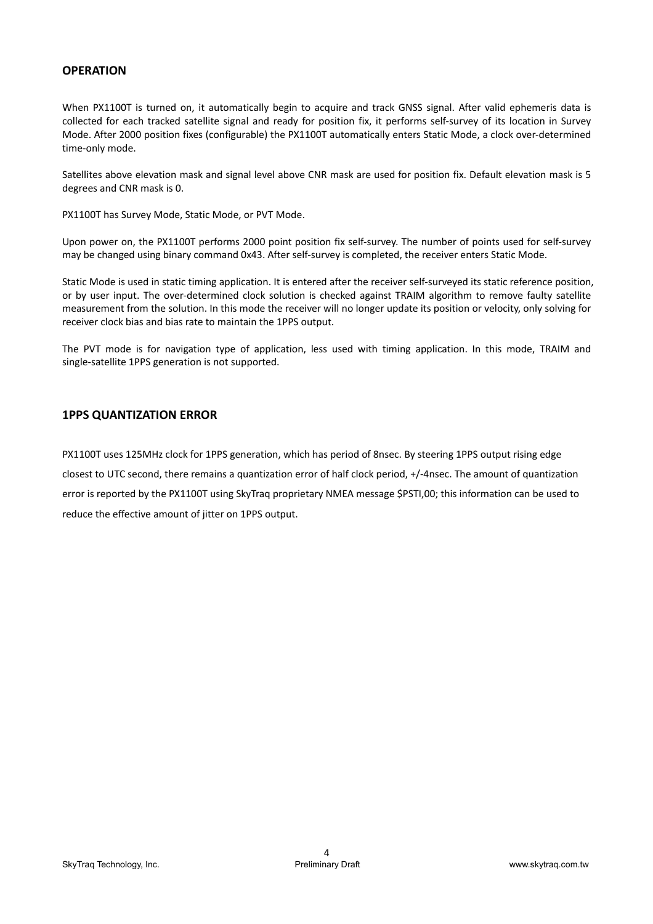# **OPERATION**

When PX1100T is turned on, it automatically begin to acquire and track GNSS signal. After valid ephemeris data is collected for each tracked satellite signal and ready for position fix, it performs self-survey of its location in Survey Mode. After 2000 position fixes (configurable) the PX1100T automatically enters Static Mode, a clock over‐determined time‐only mode.

Satellites above elevation mask and signal level above CNR mask are used for position fix. Default elevation mask is 5 degrees and CNR mask is 0.

PX1100T has Survey Mode, Static Mode, or PVT Mode.

Upon power on, the PX1100T performs 2000 point position fix self‐survey. The number of points used for self‐survey may be changed using binary command 0x43. After self-survey is completed, the receiver enters Static Mode.

Static Mode is used in static timing application. It is entered after the receiver self‐surveyed its static reference position, or by user input. The over-determined clock solution is checked against TRAIM algorithm to remove faulty satellite measurement from the solution. In this mode the receiver will no longer update its position or velocity, only solving for receiver clock bias and bias rate to maintain the 1PPS output.

The PVT mode is for navigation type of application, less used with timing application. In this mode, TRAIM and single‐satellite 1PPS generation is not supported.

# **1PPS QUANTIZATION ERROR**

PX1100T uses 125MHz clock for 1PPS generation, which has period of 8nsec. By steering 1PPS output rising edge closest to UTC second, there remains a quantization error of half clock period, +/‐4nsec. The amount of quantization error is reported by the PX1100T using SkyTraq proprietary NMEA message \$PSTI,00; this information can be used to reduce the effective amount of jitter on 1PPS output.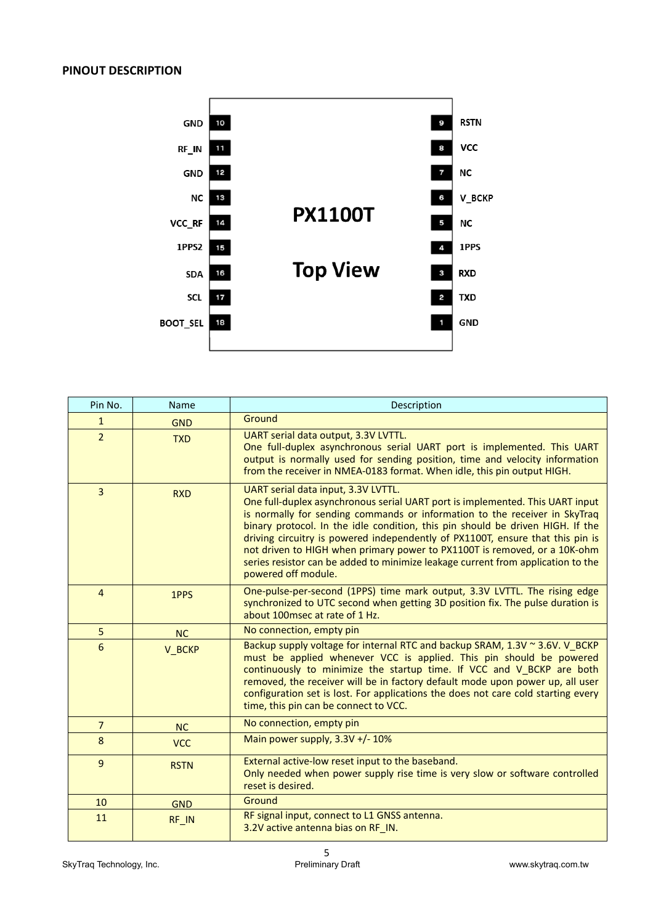

| Pin No.        | Name        | Description                                                                                                                                                                                                                                                                                                                                                                                                                                                                                                                                                    |
|----------------|-------------|----------------------------------------------------------------------------------------------------------------------------------------------------------------------------------------------------------------------------------------------------------------------------------------------------------------------------------------------------------------------------------------------------------------------------------------------------------------------------------------------------------------------------------------------------------------|
| $\mathbf{1}$   | <b>GND</b>  | Ground                                                                                                                                                                                                                                                                                                                                                                                                                                                                                                                                                         |
| $\overline{2}$ | <b>TXD</b>  | UART serial data output, 3.3V LVTTL.<br>One full-duplex asynchronous serial UART port is implemented. This UART<br>output is normally used for sending position, time and velocity information<br>from the receiver in NMEA-0183 format. When idle, this pin output HIGH.                                                                                                                                                                                                                                                                                      |
| $\overline{3}$ | <b>RXD</b>  | UART serial data input, 3.3V LVTTL.<br>One full-duplex asynchronous serial UART port is implemented. This UART input<br>is normally for sending commands or information to the receiver in SkyTraq<br>binary protocol. In the idle condition, this pin should be driven HIGH. If the<br>driving circuitry is powered independently of PX1100T, ensure that this pin is<br>not driven to HIGH when primary power to PX1100T is removed, or a 10K-ohm<br>series resistor can be added to minimize leakage current from application to the<br>powered off module. |
| $\overline{4}$ | 1PPS        | One-pulse-per-second (1PPS) time mark output, 3.3V LVTTL. The rising edge<br>synchronized to UTC second when getting 3D position fix. The pulse duration is<br>about 100msec at rate of 1 Hz.                                                                                                                                                                                                                                                                                                                                                                  |
| 5              | <b>NC</b>   | No connection, empty pin                                                                                                                                                                                                                                                                                                                                                                                                                                                                                                                                       |
| 6              | V_BCKP      | Backup supply voltage for internal RTC and backup SRAM, 1.3V ~ 3.6V. V_BCKP<br>must be applied whenever VCC is applied. This pin should be powered<br>continuously to minimize the startup time. If VCC and V_BCKP are both<br>removed, the receiver will be in factory default mode upon power up, all user<br>configuration set is lost. For applications the does not care cold starting every<br>time, this pin can be connect to VCC.                                                                                                                     |
| $\overline{7}$ | NC          | No connection, empty pin                                                                                                                                                                                                                                                                                                                                                                                                                                                                                                                                       |
| 8              | <b>VCC</b>  | Main power supply, 3.3V +/- 10%                                                                                                                                                                                                                                                                                                                                                                                                                                                                                                                                |
| 9              | <b>RSTN</b> | External active-low reset input to the baseband.<br>Only needed when power supply rise time is very slow or software controlled<br>reset is desired.                                                                                                                                                                                                                                                                                                                                                                                                           |
| 10             | <b>GND</b>  | Ground                                                                                                                                                                                                                                                                                                                                                                                                                                                                                                                                                         |
| 11             | RF_IN       | RF signal input, connect to L1 GNSS antenna.<br>3.2V active antenna bias on RF_IN.                                                                                                                                                                                                                                                                                                                                                                                                                                                                             |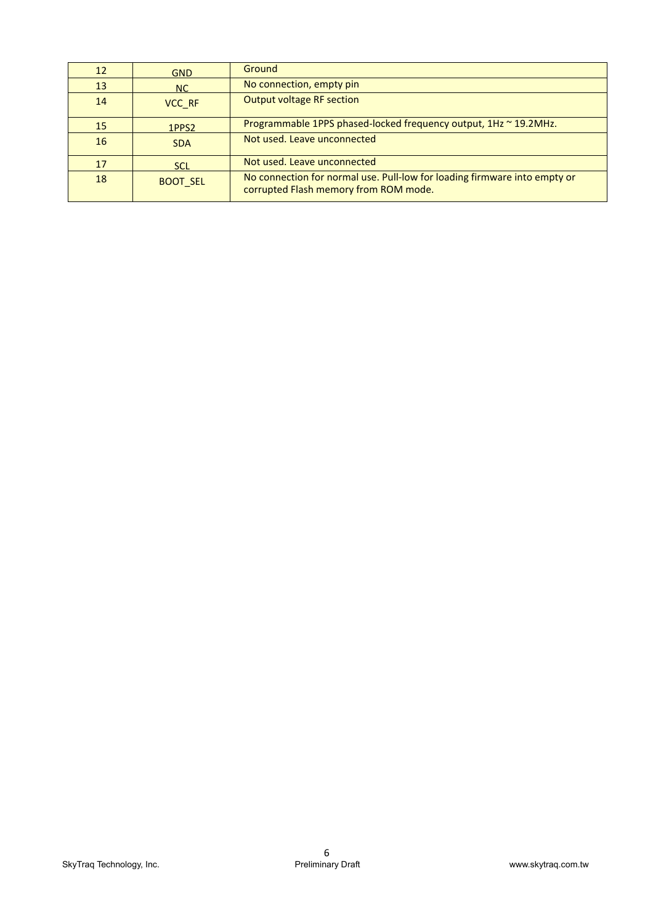| 12 | <b>GND</b>        | <b>Ground</b>                                                                                                      |
|----|-------------------|--------------------------------------------------------------------------------------------------------------------|
| 13 | NC                | No connection, empty pin                                                                                           |
| 14 | VCC RF            | <b>Output voltage RF section</b>                                                                                   |
| 15 | 1PPS <sub>2</sub> | Programmable 1PPS phased-locked frequency output, 1Hz ~ 19.2MHz.                                                   |
| 16 | <b>SDA</b>        | Not used. Leave unconnected                                                                                        |
| 17 | <b>SCL</b>        | Not used. Leave unconnected                                                                                        |
| 18 | <b>BOOT SEL</b>   | No connection for normal use. Pull-low for loading firmware into empty or<br>corrupted Flash memory from ROM mode. |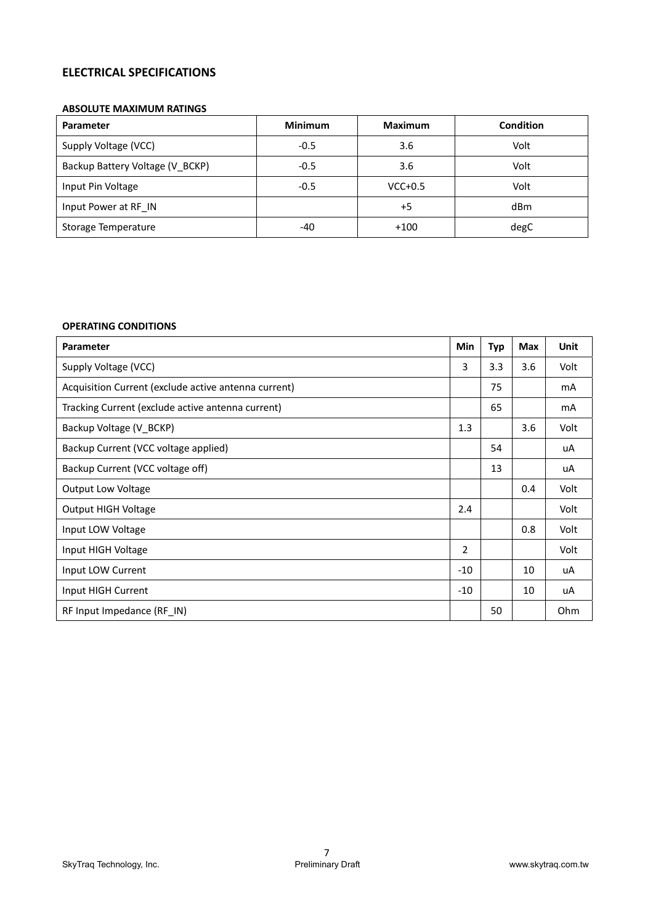# **ELECTRICAL SPECIFICATIONS**

#### **ABSOLUTE MAXIMUM RATINGS**

| <b>Parameter</b>                | <b>Minimum</b> | <b>Maximum</b> | Condition |
|---------------------------------|----------------|----------------|-----------|
| Supply Voltage (VCC)            | $-0.5$         | 3.6            | Volt      |
| Backup Battery Voltage (V BCKP) | $-0.5$         | 3.6            | Volt      |
| Input Pin Voltage               | $-0.5$         | $VCC+0.5$      | Volt      |
| Input Power at RF IN            |                | +5             | dBm       |
| Storage Temperature             | -40            | $+100$         | degC      |

# **OPERATING CONDITIONS**

| <b>Parameter</b>                                     | Min   | Typ | Max | Unit |
|------------------------------------------------------|-------|-----|-----|------|
| Supply Voltage (VCC)                                 | 3     | 3.3 | 3.6 | Volt |
| Acquisition Current (exclude active antenna current) |       | 75  |     | mA   |
| Tracking Current (exclude active antenna current)    |       | 65  |     | mA   |
| Backup Voltage (V_BCKP)                              | 1.3   |     | 3.6 | Volt |
| Backup Current (VCC voltage applied)                 |       | 54  |     | uA   |
| Backup Current (VCC voltage off)                     |       | 13  |     | uA   |
| <b>Output Low Voltage</b>                            |       |     | 0.4 | Volt |
| <b>Output HIGH Voltage</b>                           | 2.4   |     |     | Volt |
| Input LOW Voltage                                    |       |     | 0.8 | Volt |
| Input HIGH Voltage                                   | 2     |     |     | Volt |
| Input LOW Current                                    | $-10$ |     | 10  | uA   |
| Input HIGH Current                                   | $-10$ |     | 10  | uA   |
| RF Input Impedance (RF IN)                           |       | 50  |     | Ohm  |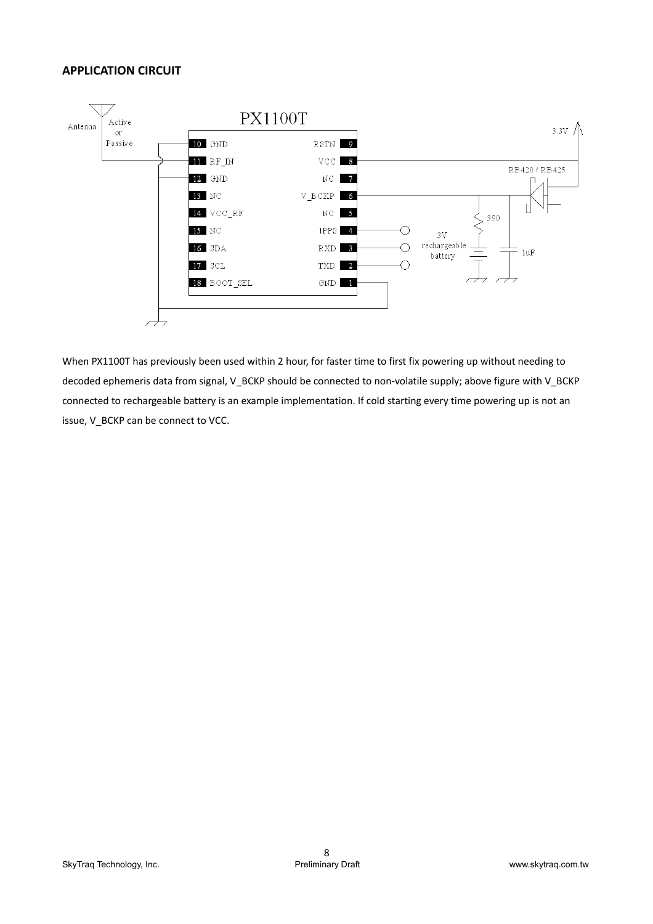# **APPLICATION CIRCUIT**



When PX1100T has previously been used within 2 hour, for faster time to first fix powering up without needing to decoded ephemeris data from signal, V\_BCKP should be connected to non-volatile supply; above figure with V\_BCKP connected to rechargeable battery is an example implementation. If cold starting every time powering up is not an issue, V\_BCKP can be connect to VCC.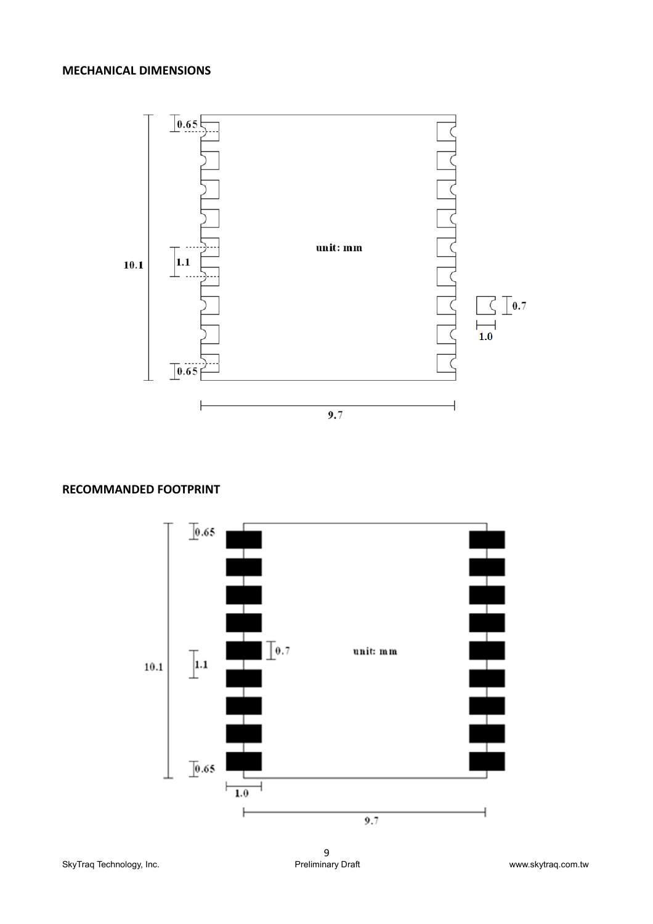# **MECHANICAL DIMENSIONS**



# **RECOMMANDED FOOTPRINT**

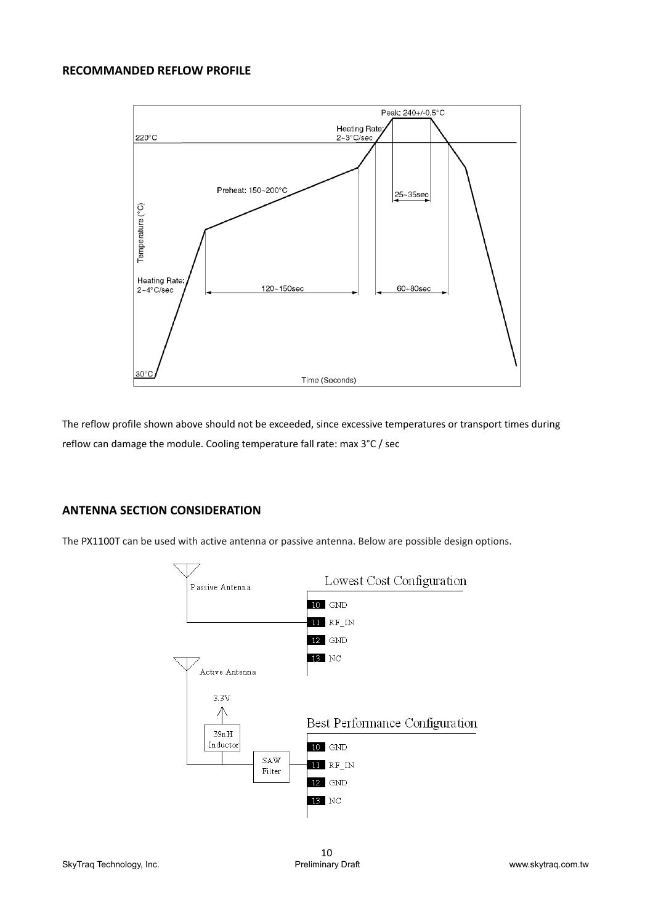# **RECOMMANDED REFLOW PROFILE**



The reflow profile shown above should not be exceeded, since excessive temperatures or transport times during reflow can damage the module. Cooling temperature fall rate: max 3°C / sec

# **ANTENNA SECTION CONSIDERATION**

The PX1100T can be used with active antenna or passive antenna. Below are possible design options.

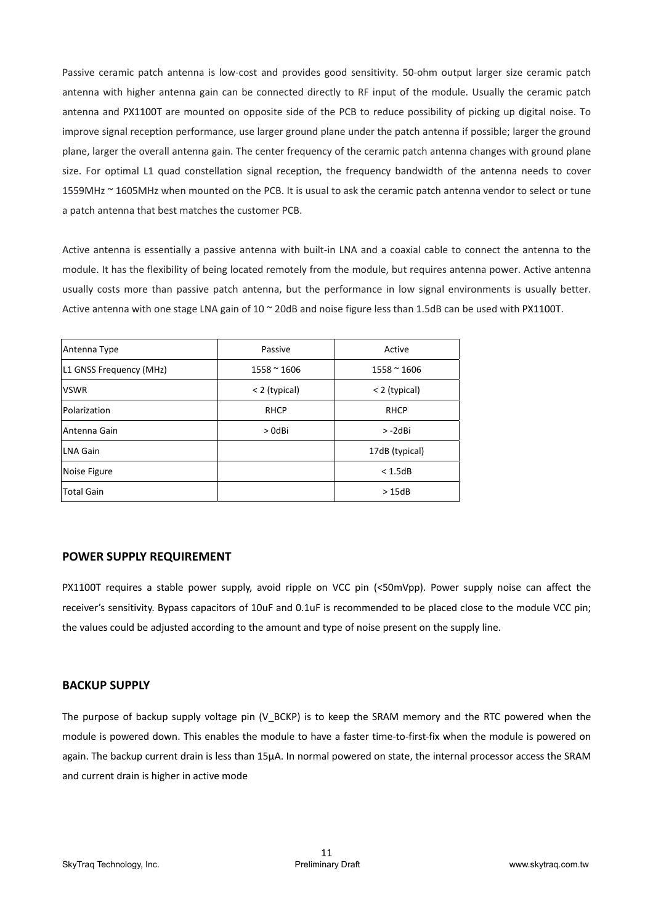Passive ceramic patch antenna is low-cost and provides good sensitivity. 50-ohm output larger size ceramic patch antenna with higher antenna gain can be connected directly to RF input of the module. Usually the ceramic patch antenna and PX1100T are mounted on opposite side of the PCB to reduce possibility of picking up digital noise. To improve signal reception performance, use larger ground plane under the patch antenna if possible; larger the ground plane, larger the overall antenna gain. The center frequency of the ceramic patch antenna changes with ground plane size. For optimal L1 quad constellation signal reception, the frequency bandwidth of the antenna needs to cover 1559MHz ~ 1605MHz when mounted on the PCB. It is usual to ask the ceramic patch antenna vendor to select or tune a patch antenna that best matches the customer PCB.

Active antenna is essentially a passive antenna with built-in LNA and a coaxial cable to connect the antenna to the module. It has the flexibility of being located remotely from the module, but requires antenna power. Active antenna usually costs more than passive patch antenna, but the performance in low signal environments is usually better. Active antenna with one stage LNA gain of 10 ~ 20dB and noise figure less than 1.5dB can be used with PX1100T.

| Antenna Type            | Passive       | Active              |
|-------------------------|---------------|---------------------|
| L1 GNSS Frequency (MHz) | $1558 - 1606$ | $1558 \approx 1606$ |
| <b>VSWR</b>             | < 2 (typical) | < 2 (typical)       |
| Polarization            | <b>RHCP</b>   | <b>RHCP</b>         |
| Antenna Gain            | > OdBi        | > -2dBi             |
| LNA Gain                |               | 17dB (typical)      |
| Noise Figure            |               | < 1.5dB             |
| <b>Total Gain</b>       |               | >15dB               |

# **POWER SUPPLY REQUIREMENT**

PX1100T requires a stable power supply, avoid ripple on VCC pin (<50mVpp). Power supply noise can affect the receiver's sensitivity. Bypass capacitors of 10uF and 0.1uF is recommended to be placed close to the module VCC pin; the values could be adjusted according to the amount and type of noise present on the supply line.

# **BACKUP SUPPLY**

The purpose of backup supply voltage pin  $(V$  BCKP) is to keep the SRAM memory and the RTC powered when the module is powered down. This enables the module to have a faster time-to-first-fix when the module is powered on again. The backup current drain is less than 15μA. In normal powered on state, the internal processor access the SRAM and current drain is higher in active mode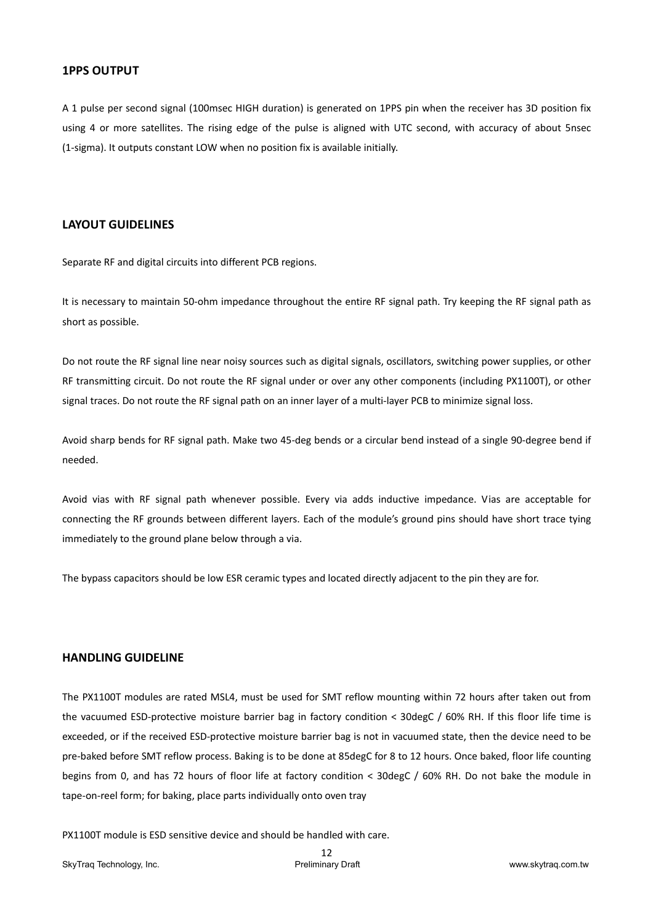#### **1PPS OUTPUT**

A 1 pulse per second signal (100msec HIGH duration) is generated on 1PPS pin when the receiver has 3D position fix using 4 or more satellites. The rising edge of the pulse is aligned with UTC second, with accuracy of about 5nsec (1‐sigma). It outputs constant LOW when no position fix is available initially.

# **LAYOUT GUIDELINES**

Separate RF and digital circuits into different PCB regions.

It is necessary to maintain 50-ohm impedance throughout the entire RF signal path. Try keeping the RF signal path as short as possible.

Do not route the RF signal line near noisy sources such as digital signals, oscillators, switching power supplies, or other RF transmitting circuit. Do not route the RF signal under or over any other components (including PX1100T), or other signal traces. Do not route the RF signal path on an inner layer of a multi-layer PCB to minimize signal loss.

Avoid sharp bends for RF signal path. Make two 45‐deg bends or a circular bend instead of a single 90‐degree bend if needed.

Avoid vias with RF signal path whenever possible. Every via adds inductive impedance. Vias are acceptable for connecting the RF grounds between different layers. Each of the module's ground pins should have short trace tying immediately to the ground plane below through a via.

The bypass capacitors should be low ESR ceramic types and located directly adjacent to the pin they are for.

# **HANDLING GUIDELINE**

The PX1100T modules are rated MSL4, must be used for SMT reflow mounting within 72 hours after taken out from the vacuumed ESD-protective moisture barrier bag in factory condition < 30degC / 60% RH. If this floor life time is exceeded, or if the received ESD-protective moisture barrier bag is not in vacuumed state, then the device need to be pre-baked before SMT reflow process. Baking is to be done at 85degC for 8 to 12 hours. Once baked, floor life counting begins from 0, and has 72 hours of floor life at factory condition < 30degC / 60% RH. Do not bake the module in tape‐on‐reel form; for baking, place parts individually onto oven tray

PX1100T module is ESD sensitive device and should be handled with care.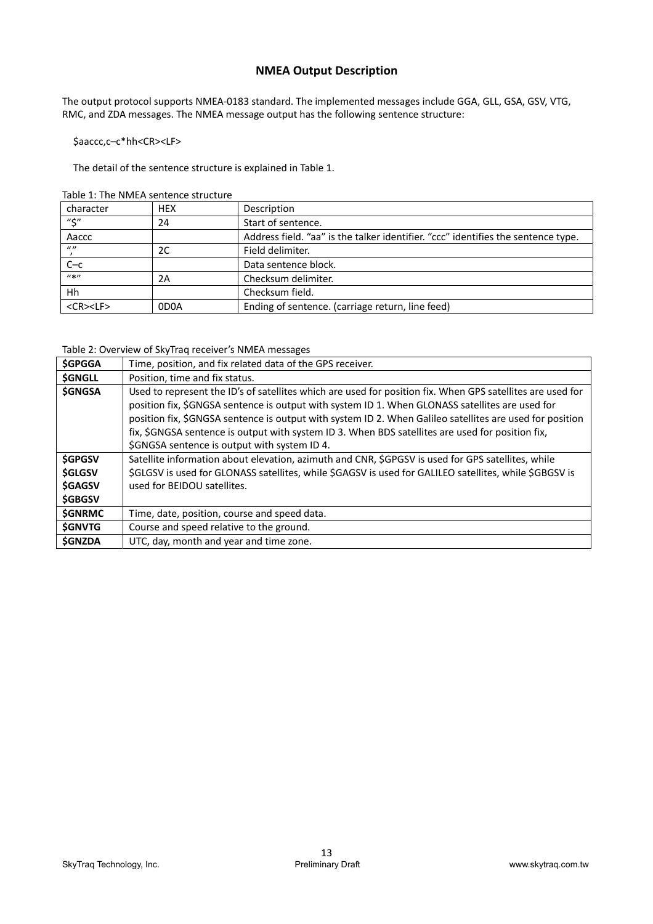# **NMEA Output Description**

The output protocol supports NMEA‐0183 standard. The implemented messages include GGA, GLL, GSA, GSV, VTG, RMC, and ZDA messages. The NMEA message output has the following sentence structure:

\$aaccc,c–c\*hh<CR><LF>

The detail of the sentence structure is explained in Table 1.

| Table 1: The NMEA sentence structure |  |
|--------------------------------------|--|
|--------------------------------------|--|

| character             | <b>HEX</b> | Description                                                                       |
|-----------------------|------------|-----------------------------------------------------------------------------------|
| $"$ \$"               | 24         | Start of sentence.                                                                |
| Aaccc                 |            | Address field. "aa" is the talker identifier. "ccc" identifies the sentence type. |
| $\mathbf{u}$          | 2C         | Field delimiter.                                                                  |
| $C - c$               |            | Data sentence block.                                                              |
| $u * v$               | 2A         | Checksum delimiter.                                                               |
| Hh                    |            | Checksum field.                                                                   |
| $<$ CR $>$ $<$ LF $>$ | 0D0A       | Ending of sentence. (carriage return, line feed)                                  |

Table 2: Overview of SkyTraq receiver's NMEA messages

| <b>\$GPGGA</b> | Time, position, and fix related data of the GPS receiver.                                                  |  |  |  |  |  |
|----------------|------------------------------------------------------------------------------------------------------------|--|--|--|--|--|
| <b>\$GNGLL</b> | Position, time and fix status.                                                                             |  |  |  |  |  |
| <b>\$GNGSA</b> | Used to represent the ID's of satellites which are used for position fix. When GPS satellites are used for |  |  |  |  |  |
|                | position fix, \$GNGSA sentence is output with system ID 1. When GLONASS satellites are used for            |  |  |  |  |  |
|                | position fix, \$GNGSA sentence is output with system ID 2. When Galileo satellites are used for position   |  |  |  |  |  |
|                | fix, \$GNGSA sentence is output with system ID 3. When BDS satellites are used for position fix,           |  |  |  |  |  |
|                | \$GNGSA sentence is output with system ID 4.                                                               |  |  |  |  |  |
| <b>SGPGSV</b>  | Satellite information about elevation, azimuth and CNR, \$GPGSV is used for GPS satellites, while          |  |  |  |  |  |
| <b>SGLGSV</b>  | \$GLGSV is used for GLONASS satellites, while \$GAGSV is used for GALILEO satellites, while \$GBGSV is     |  |  |  |  |  |
| <b>\$GAGSV</b> | used for BEIDOU satellites.                                                                                |  |  |  |  |  |
| <b>\$GBGSV</b> |                                                                                                            |  |  |  |  |  |
| <b>SGNRMC</b>  | Time, date, position, course and speed data.                                                               |  |  |  |  |  |
| <b>SGNVTG</b>  | Course and speed relative to the ground.                                                                   |  |  |  |  |  |
| <b>SGNZDA</b>  | UTC, day, month and year and time zone.                                                                    |  |  |  |  |  |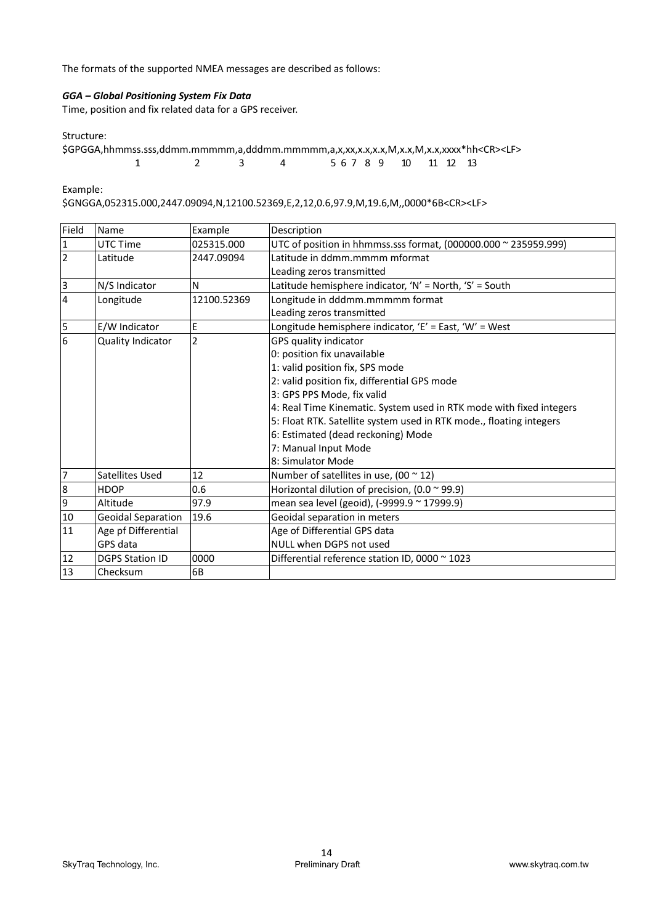The formats of the supported NMEA messages are described as follows:

# *GGA – Global Positioning System Fix Data*

Time, position and fix related data for a GPS receiver.

Structure:

| \$GPGGA,hhmmss.sss,ddmm.mmmmm,a,dddmm.mmmmm,a,x,xx,x.x,x.x,M,x.x,M,x.x,xxxx*hh <cr><lf></lf></cr> |  |  |  |  |                       |  |  |
|---------------------------------------------------------------------------------------------------|--|--|--|--|-----------------------|--|--|
|                                                                                                   |  |  |  |  | 5 6 7 8 9 10 11 12 13 |  |  |

Example:

\$GNGGA,052315.000,2447.09094,N,12100.52369,E,2,12,0.6,97.9,M,19.6,M,,0000\*6B<CR><LF>

| Field          | Name                      | Example        | Description                                                         |
|----------------|---------------------------|----------------|---------------------------------------------------------------------|
| $\mathbf{1}$   | UTC Time                  | 025315.000     | UTC of position in hhmmss.sss format, (000000.000 ~ 235959.999)     |
| $\overline{2}$ | Latitude                  | 2447.09094     | Latitude in ddmm.mmmm mformat                                       |
|                |                           |                | Leading zeros transmitted                                           |
| 3              | N/S Indicator             | N              | Latitude hemisphere indicator, 'N' = North, 'S' = South             |
| $\overline{4}$ | Longitude                 | 12100.52369    | Longitude in dddmm.mmmmm format                                     |
|                |                           |                | Leading zeros transmitted                                           |
| 5              | E/W Indicator             | E              | Longitude hemisphere indicator, 'E' = East, 'W' = West              |
| 6              | Quality Indicator         | $\overline{2}$ | GPS quality indicator                                               |
|                |                           |                | 0: position fix unavailable                                         |
|                |                           |                | 1: valid position fix, SPS mode                                     |
|                |                           |                | 2: valid position fix, differential GPS mode                        |
|                |                           |                | 3: GPS PPS Mode, fix valid                                          |
|                |                           |                | 4: Real Time Kinematic. System used in RTK mode with fixed integers |
|                |                           |                | 5: Float RTK. Satellite system used in RTK mode., floating integers |
|                |                           |                | 6: Estimated (dead reckoning) Mode                                  |
|                |                           |                | 7: Manual Input Mode                                                |
|                |                           |                | 8: Simulator Mode                                                   |
| 7              | Satellites Used           | 12             | Number of satellites in use, $(00 \times 12)$                       |
| 8              | <b>HDOP</b>               | 0.6            | Horizontal dilution of precision, $(0.0 \times 99.9)$               |
| 9              | Altitude                  | 97.9           | mean sea level (geoid), (-9999.9 ~ 17999.9)                         |
| 10             | <b>Geoidal Separation</b> | 19.6           | Geoidal separation in meters                                        |
| 11             | Age pf Differential       |                | Age of Differential GPS data                                        |
|                | GPS data                  |                | NULL when DGPS not used                                             |
| 12             | <b>DGPS Station ID</b>    | 0000           | Differential reference station ID, 0000 ~ 1023                      |
| 13             | Checksum                  | 6B             |                                                                     |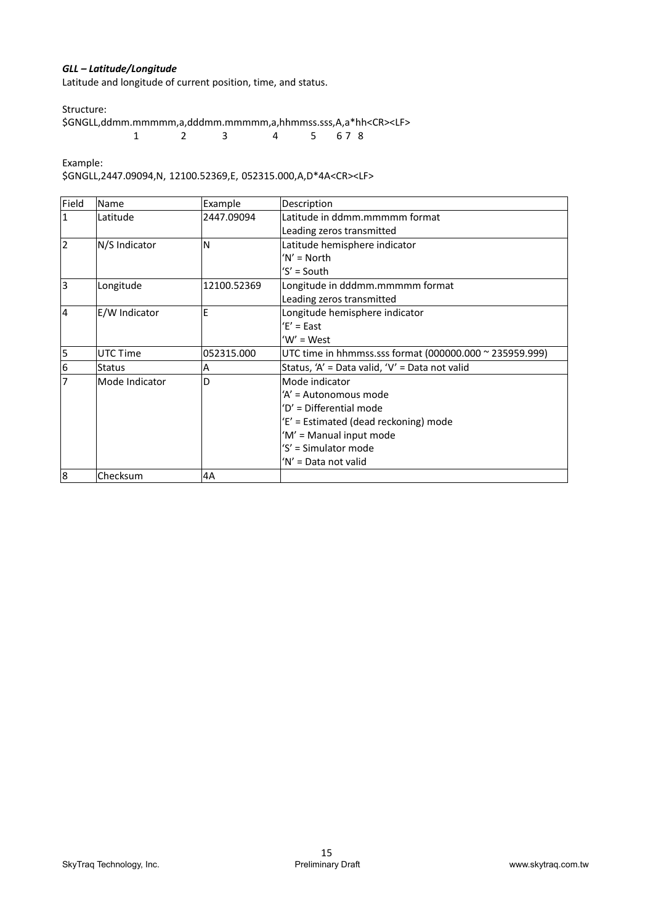# *GLL – Latitude/Longitude*

Latitude and longitude of current position, time, and status.

Structure:

\$GNGLL,ddmm.mmmmm,a,dddmm.mmmmm,a,hhmmss.sss,A,a\*hh<CR><LF> 1 2 3 4 5 6 7 8

Example:

\$GNGLL,2447.09094,N, 12100.52369,E, 052315.000,A,D\*4A<CR><LF>

| Field          | Name           | Example     | Description                                             |
|----------------|----------------|-------------|---------------------------------------------------------|
| $\mathbf{1}$   | Latitude       | 2447.09094  | Latitude in ddmm.mmmmm format                           |
|                |                |             | Leading zeros transmitted                               |
| $\overline{2}$ | N/S Indicator  | N           | Latitude hemisphere indicator                           |
|                |                |             | $'N' = North$                                           |
|                |                |             | 'S' = South                                             |
| <sub>3</sub>   | Longitude      | 12100.52369 | Longitude in dddmm.mmmmm format                         |
|                |                |             | Leading zeros transmitted                               |
| $\overline{4}$ | E/W Indicator  | E           | Longitude hemisphere indicator                          |
|                |                |             | $E' = East$                                             |
|                |                |             | $W' = West$                                             |
| 5              | UTC Time       | 052315.000  | UTC time in hhmmss.sss format (000000.000 ~ 235959.999) |
| 6              | <b>Status</b>  | Α           | Status, 'A' = Data valid, 'V' = Data not valid          |
| $\overline{7}$ | Mode Indicator | D           | Mode indicator                                          |
|                |                |             | 'A' = Autonomous mode                                   |
|                |                |             | 'D' = Differential mode                                 |
|                |                |             | 'E' = Estimated (dead reckoning) mode                   |
|                |                |             | 'M' = Manual input mode                                 |
|                |                |             | 'S' = Simulator mode                                    |
|                |                |             | 'N' = Data not valid                                    |
| 8              | Checksum       | 4A          |                                                         |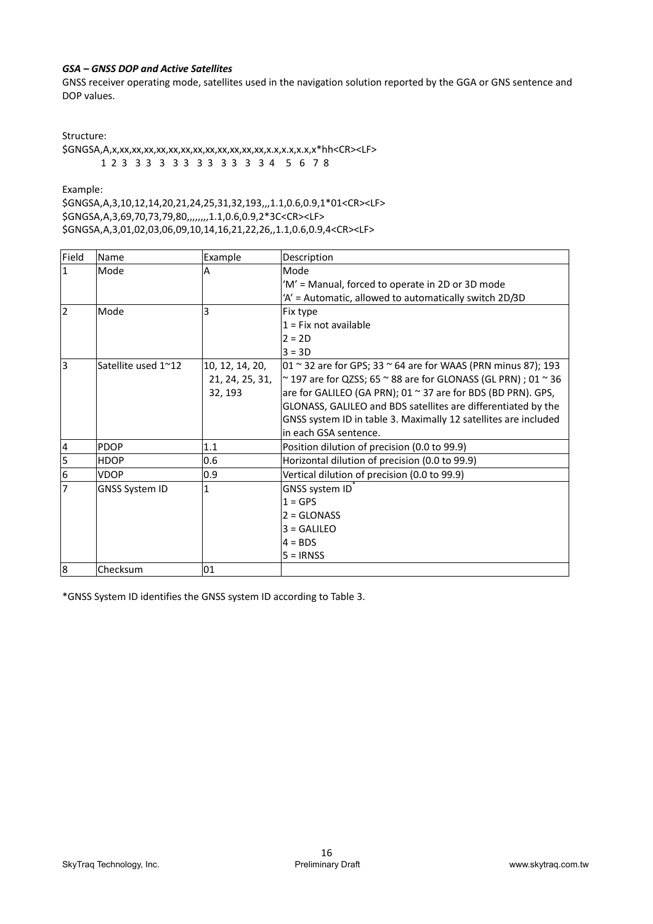# *GSA – GNSS DOP and Active Satellites*

GNSS receiver operating mode, satellites used in the navigation solution reported by the GGA or GNS sentence and DOP values.

Structure:

\$GNGSA,A,x,xx,xx,xx,xx,xx,xx,xx,xx,xx,xx,xx,xx,x.x,x.x,x.x,x\*hh<CR><LF> 1 2 3 3 3 3 3 3 3 3 3 3 3 4 5 6 7 8

Example:

\$GNGSA,A,3,10,12,14,20,21,24,25,31,32,193,,,1.1,0.6,0.9,1\*01<CR><LF> \$GNGSA,A,3,69,70,73,79,80,,,,,,,,1.1,0.6,0.9,2\*3C<CR><LF> \$GNGSA,A,3,01,02,03,06,09,10,14,16,21,22,26,,1.1,0.6,0.9,4<CR><LF>

| Field          | Name                  | Example                                       | Description                                                                                                                                                                                                                                                                                                                                                                              |
|----------------|-----------------------|-----------------------------------------------|------------------------------------------------------------------------------------------------------------------------------------------------------------------------------------------------------------------------------------------------------------------------------------------------------------------------------------------------------------------------------------------|
| 1              | Mode                  | А                                             | Mode                                                                                                                                                                                                                                                                                                                                                                                     |
|                |                       |                                               | 'M' = Manual, forced to operate in 2D or 3D mode                                                                                                                                                                                                                                                                                                                                         |
|                |                       |                                               | 'A' = Automatic, allowed to automatically switch 2D/3D                                                                                                                                                                                                                                                                                                                                   |
| 2              | Mode                  | 3                                             | Fix type                                                                                                                                                                                                                                                                                                                                                                                 |
|                |                       |                                               | $1 = Fix not available$                                                                                                                                                                                                                                                                                                                                                                  |
|                |                       |                                               | $2 = 2D$                                                                                                                                                                                                                                                                                                                                                                                 |
|                |                       |                                               | $3 = 3D$                                                                                                                                                                                                                                                                                                                                                                                 |
| lз             | Satellite used 1~12   | 10, 12, 14, 20,<br>21, 24, 25, 31,<br>32, 193 | $\vert$ 01 ~ 32 are for GPS; 33 ~ 64 are for WAAS (PRN minus 87); 193<br>$\sim$ 197 are for QZSS; 65 $\sim$ 88 are for GLONASS (GL PRN) ; 01 $\sim$ 36<br>are for GALILEO (GA PRN); 01 $\sim$ 37 are for BDS (BD PRN). GPS,<br>GLONASS, GALILEO and BDS satellites are differentiated by the<br>GNSS system ID in table 3. Maximally 12 satellites are included<br>in each GSA sentence. |
| $\overline{4}$ | PDOP                  | 1.1                                           | Position dilution of precision (0.0 to 99.9)                                                                                                                                                                                                                                                                                                                                             |
| 5              | <b>HDOP</b>           | 0.6                                           | Horizontal dilution of precision (0.0 to 99.9)                                                                                                                                                                                                                                                                                                                                           |
| 6              | VDOP                  | 0.9                                           | Vertical dilution of precision (0.0 to 99.9)                                                                                                                                                                                                                                                                                                                                             |
| 17             | <b>GNSS System ID</b> | 1                                             | GNSS system ID<br>$1 = GPS$<br>$2 = \text{GLONASS}$<br>$3 = GALILEO$<br>$4 = BDS$<br>$5 = IRNSS$                                                                                                                                                                                                                                                                                         |
| 8              | Checksum              | 01                                            |                                                                                                                                                                                                                                                                                                                                                                                          |

\*GNSS System ID identifies the GNSS system ID according to Table 3.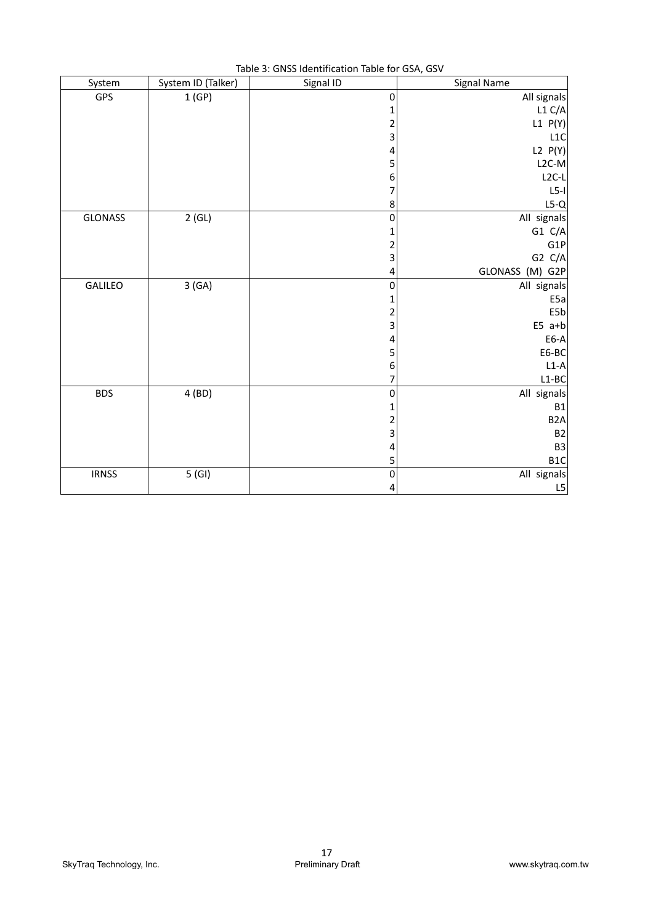| System       | System ID (Talker) | rapic 5. Onlys rachtmeation rapic for GSA, GSV<br>Signal ID | Signal Name      |
|--------------|--------------------|-------------------------------------------------------------|------------------|
| GPS          | 1(GP)              | 0                                                           | All signals      |
|              |                    | 1                                                           | L1 C/A           |
|              |                    | 2                                                           | L1 P(Y)          |
|              |                    | 3                                                           | L1C              |
|              |                    | 4                                                           | L2 P(Y)          |
|              |                    | 5                                                           | $L2C-M$          |
|              |                    | 6                                                           | $L2C-L$          |
|              |                    | 7                                                           | $L5-I$           |
|              |                    | 8                                                           | $L5-Q$           |
| GLONASS      | 2(GL)              | 0                                                           | All signals      |
|              |                    | 1                                                           | G1 C/A           |
|              |                    | $\overline{\mathbf{c}}$                                     | G1P              |
|              |                    | 3                                                           | G2 C/A           |
|              |                    | 4                                                           | GLONASS (M) G2P  |
| GALILEO      | 3(GA)              | $\pmb{0}$                                                   | All signals      |
|              |                    | 1                                                           | E <sub>5a</sub>  |
|              |                    | 2                                                           | E5b              |
|              |                    | 3                                                           | $E5$ a+b         |
|              |                    | 4                                                           | E6-A             |
|              |                    | 5                                                           | E6-BC            |
|              |                    | 6                                                           | $L1-A$           |
|              |                    | 7                                                           | $L1-BC$          |
| <b>BDS</b>   | 4 (BD)             | 0                                                           | All signals      |
|              |                    | 1                                                           | <b>B1</b>        |
|              |                    | 2                                                           | B <sub>2</sub> A |
|              |                    | 3                                                           | B <sub>2</sub>   |
|              |                    | 4                                                           | B <sub>3</sub>   |
|              |                    | 5                                                           | B <sub>1</sub> C |
| <b>IRNSS</b> | 5(GI)              | $\mathbf 0$                                                 | All signals      |
|              |                    | 4                                                           | L5               |

Table 3: GNSS Identification Table for GSA, GSV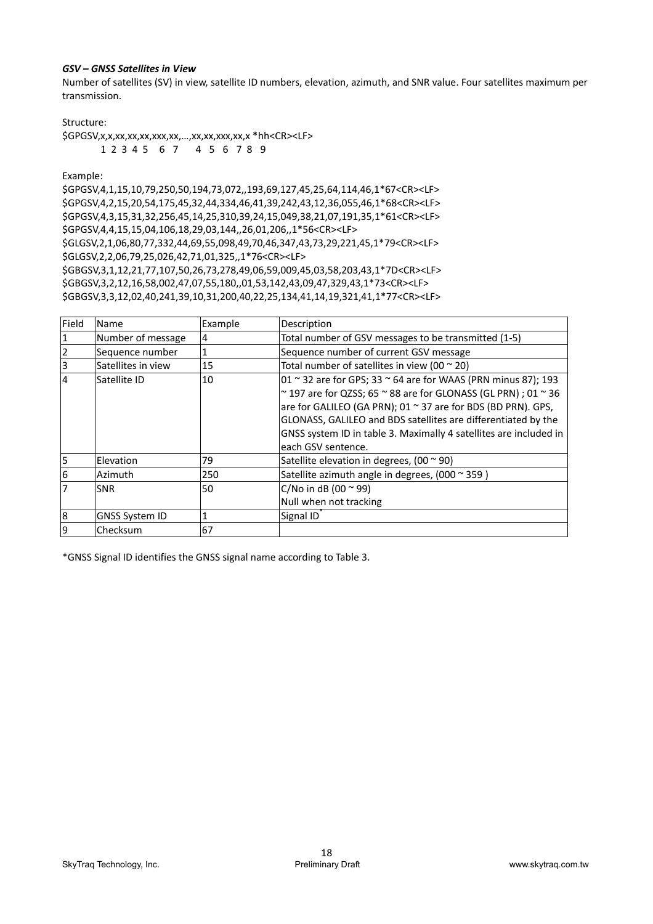#### *GSV – GNSS Satellites in View*

Number of satellites (SV) in view, satellite ID numbers, elevation, azimuth, and SNR value. Four satellites maximum per transmission.

Structure:

\$GPGSV,x,x,xx,xx,xx,xxx,xx,…,xx,xx,xxx,xx,x \*hh<CR><LF> 1 2 3 4 5 6 7 4 5 6 7 8 9

Example:

\$GPGSV,4,1,15,10,79,250,50,194,73,072,,193,69,127,45,25,64,114,46,1\*67<CR><LF> \$GPGSV,4,2,15,20,54,175,45,32,44,334,46,41,39,242,43,12,36,055,46,1\*68<CR><LF> \$GPGSV,4,3,15,31,32,256,45,14,25,310,39,24,15,049,38,21,07,191,35,1\*61<CR><LF> \$GPGSV,4,4,15,15,04,106,18,29,03,144,,26,01,206,,1\*56<CR><LF> \$GLGSV,2,1,06,80,77,332,44,69,55,098,49,70,46,347,43,73,29,221,45,1\*79<CR><LF> \$GLGSV,2,2,06,79,25,026,42,71,01,325,,1\*76<CR><LF> \$GBGSV,3,1,12,21,77,107,50,26,73,278,49,06,59,009,45,03,58,203,43,1\*7D<CR><LF> \$GBGSV,3,2,12,16,58,002,47,07,55,180,,01,53,142,43,09,47,329,43,1\*73<CR><LF> \$GBGSV,3,3,12,02,40,241,39,10,31,200,40,22,25,134,41,14,19,321,41,1\*77<CR><LF>

| Field                   | Name                  | Example | Description                                                                   |
|-------------------------|-----------------------|---------|-------------------------------------------------------------------------------|
| 1                       | Number of message     | 4       | Total number of GSV messages to be transmitted (1-5)                          |
| $\overline{2}$          | Sequence number       |         | Sequence number of current GSV message                                        |
| $\overline{\mathbf{3}}$ | Satellites in view    | 15      | Total number of satellites in view (00 $\approx$ 20)                          |
| $\overline{4}$          | Satellite ID          | 10      | $01 \sim 32$ are for GPS; 33 $\sim$ 64 are for WAAS (PRN minus 87); 193       |
|                         |                       |         | $\sim$ 197 are for QZSS; 65 $\sim$ 88 are for GLONASS (GL PRN) ; 01 $\sim$ 36 |
|                         |                       |         | $ $ are for GALILEO (GA PRN); 01 $\sim$ 37 are for BDS (BD PRN). GPS,         |
|                         |                       |         | GLONASS, GALILEO and BDS satellites are differentiated by the                 |
|                         |                       |         | GNSS system ID in table 3. Maximally 4 satellites are included in             |
|                         |                       |         | each GSV sentence.                                                            |
| 5                       | Elevation             | 79      | Satellite elevation in degrees, (00 $\sim$ 90)                                |
| 6                       | Azimuth               | 250     | Satellite azimuth angle in degrees, (000 ~ 359)                               |
| $\overline{7}$          | <b>SNR</b>            | 50      | C/No in dB (00 $\approx$ 99)                                                  |
|                         |                       |         | Null when not tracking                                                        |
| 8                       | <b>GNSS System ID</b> |         | Signal ID                                                                     |
| 9                       | Checksum              | 67      |                                                                               |

\*GNSS Signal ID identifies the GNSS signal name according to Table 3.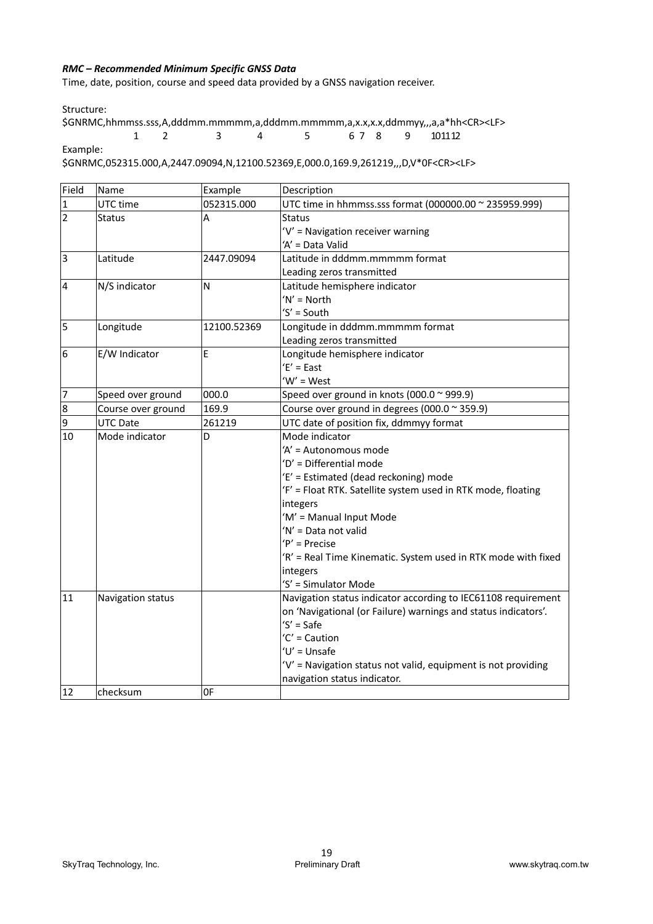# *RMC – Recommended Minimum Specific GNSS Data*

Time, date, position, course and speed data provided by a GNSS navigation receiver.

Structure:

\$GNRMC,hhmmss.sss,A,dddmm.mmmmm,a,dddmm.mmmmm,a,x.x,x.x,ddmmyy,,,a,a\*hh<CR><LF> 1 2 3 4 5 6 7 8 9 10 11 12 Example:

\$GNRMC,052315.000,A,2447.09094,N,12100.52369,E,000.0,169.9,261219,,,D,V\*0F<CR><LF>

| Field                   | Name               | Example     | Description                                                    |  |
|-------------------------|--------------------|-------------|----------------------------------------------------------------|--|
| $\overline{1}$          | UTC time           | 052315.000  | UTC time in hhmmss.sss format (000000.00 ~ 235959.999)         |  |
| $\overline{2}$          | Status             | A           | <b>Status</b>                                                  |  |
|                         |                    |             | 'V' = Navigation receiver warning                              |  |
|                         |                    |             | 'A' = Data Valid                                               |  |
| $\overline{\mathbf{3}}$ | Latitude           | 2447.09094  | Latitude in dddmm.mmmmm format                                 |  |
|                         |                    |             | Leading zeros transmitted                                      |  |
| $\overline{4}$          | N/S indicator      | N           | Latitude hemisphere indicator                                  |  |
|                         |                    |             | 'N' = North                                                    |  |
|                         |                    |             | 'S' = South                                                    |  |
| 5                       | Longitude          | 12100.52369 | Longitude in dddmm.mmmmm format                                |  |
|                         |                    |             | Leading zeros transmitted                                      |  |
| 6                       | E/W Indicator      | E           | Longitude hemisphere indicator                                 |  |
|                         |                    |             | $E' = East$                                                    |  |
|                         |                    |             | $W' = West$                                                    |  |
| 17                      | Speed over ground  | 000.0       | Speed over ground in knots (000.0 ~ 999.9)                     |  |
| 8                       | Course over ground | 169.9       | Course over ground in degrees (000.0 ~ 359.9)                  |  |
| 9                       | <b>UTC Date</b>    | 261219      | UTC date of position fix, ddmmyy format                        |  |
| 10                      | Mode indicator     | D           | Mode indicator                                                 |  |
|                         |                    |             | 'A' = Autonomous mode                                          |  |
|                         |                    |             | 'D' = Differential mode                                        |  |
|                         |                    |             | 'E' = Estimated (dead reckoning) mode                          |  |
|                         |                    |             | 'F' = Float RTK. Satellite system used in RTK mode, floating   |  |
|                         |                    |             | integers                                                       |  |
|                         |                    |             | 'M' = Manual Input Mode                                        |  |
|                         |                    |             | 'N' = Data not valid                                           |  |
|                         |                    |             | 'P' = Precise                                                  |  |
|                         |                    |             | 'R' = Real Time Kinematic. System used in RTK mode with fixed  |  |
|                         |                    |             | integers                                                       |  |
|                         |                    |             | 'S' = Simulator Mode                                           |  |
| 11                      | Navigation status  |             | Navigation status indicator according to IEC61108 requirement  |  |
|                         |                    |             | on 'Navigational (or Failure) warnings and status indicators'. |  |
|                         |                    |             | $'S' = Safe$                                                   |  |
|                         |                    |             | 'C' = Caution                                                  |  |
|                         |                    |             | 'U' = Unsafe                                                   |  |
|                         |                    |             | 'V' = Navigation status not valid, equipment is not providing  |  |
|                         |                    |             | navigation status indicator.                                   |  |
| 12                      | checksum           | 0F          |                                                                |  |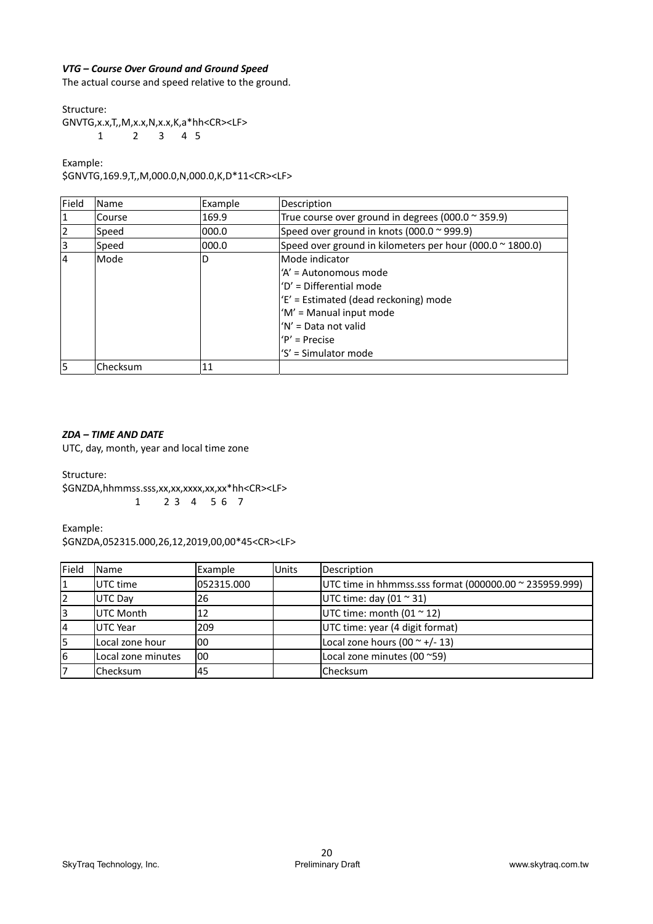# *VTG – Course Over Ground and Ground Speed*

The actual course and speed relative to the ground.

Structure:

GNVTG,x.x,T,,M,x.x,N,x.x,K,a\*hh<CR><LF> 1 2 3 4 5

Example:

\$GNVTG,169.9,T,,M,000.0,N,000.0,K,D\*11<CR><LF>

| Field          | Name     | Example | Description                                                       |
|----------------|----------|---------|-------------------------------------------------------------------|
| 1              | Course   | 169.9   | True course over ground in degrees (000.0 $\approx$ 359.9)        |
| $\overline{2}$ | Speed    | 000.0   | Speed over ground in knots (000.0 ~ 999.9)                        |
| 3              | Speed    | 000.0   | Speed over ground in kilometers per hour (000.0 $\approx$ 1800.0) |
| $\overline{4}$ | Mode     | D       | Mode indicator                                                    |
|                |          |         | 'A' = Autonomous mode                                             |
|                |          |         | 'D' = Differential mode                                           |
|                |          |         | 'E' = Estimated (dead reckoning) mode                             |
|                |          |         | 'M' = Manual input mode                                           |
|                |          |         | 'N' = Data not valid                                              |
|                |          |         | $'P'$ = Precise                                                   |
|                |          |         | 'S' = Simulator mode                                              |
| l5             | Checksum | 11      |                                                                   |

#### *ZDA – TIME AND DATE*

UTC, day, month, year and local time zone

Structure:

\$GNZDA,hhmmss.sss,xx,xx,xxxx,xx,xx\*hh<CR><LF> 1 2 3 4 5 6 7

Example:

\$GNZDA,052315.000,26,12,2019,00,00\*45<CR><LF>

| Field | <b>Name</b>        | Example    | <b>Units</b> | Description                                            |
|-------|--------------------|------------|--------------|--------------------------------------------------------|
|       | UTC time           | 052315.000 |              | UTC time in hhmmss.sss format (000000.00 ~ 235959.999) |
|       | <b>UTC Day</b>     | 26         |              | UTC time: day (01 $\approx$ 31)                        |
| 3     | <b>UTC Month</b>   | 12         |              | UTC time: month $(01 \approx 12)$                      |
| 4     | <b>UTC Year</b>    | 209        |              | UTC time: year (4 digit format)                        |
|       | Local zone hour    | 100        |              | Local zone hours $(00 \sim +/- 13)$                    |
| 6     | Local zone minutes | 100        |              | Local zone minutes (00~59)                             |
|       | Checksum           | 45         |              | Checksum                                               |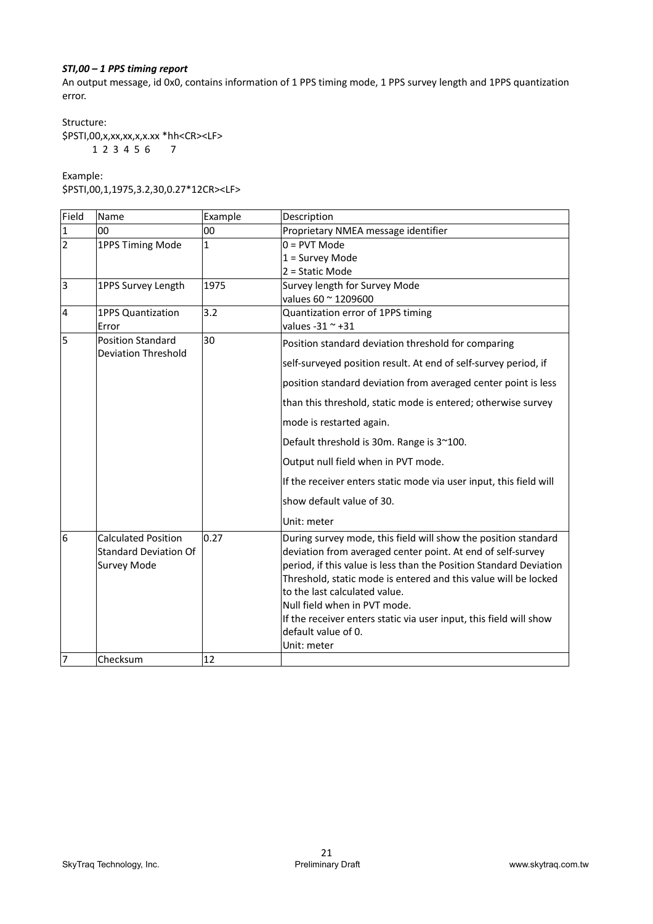# *STI,00 – 1 PPS timing report*

An output message, id 0x0, contains information of 1 PPS timing mode, 1 PPS survey length and 1PPS quantization error.

Structure: \$PSTI,00,x,xx,xx,x,x.xx \*hh<CR><LF> 1 2 3 4 5 6 7

Example:

\$PSTI,00,1,1975,3.2,30,0.27\*12CR><LF>

| Field          | Name                                                                             | Example      | Description                                                                                                                                                                                                                                                                                                                                                                                                                                         |
|----------------|----------------------------------------------------------------------------------|--------------|-----------------------------------------------------------------------------------------------------------------------------------------------------------------------------------------------------------------------------------------------------------------------------------------------------------------------------------------------------------------------------------------------------------------------------------------------------|
| 1              | 00                                                                               | 00           | Proprietary NMEA message identifier                                                                                                                                                                                                                                                                                                                                                                                                                 |
| $\overline{2}$ | 1PPS Timing Mode                                                                 | $\mathbf{1}$ | $0 = PVT Mode$                                                                                                                                                                                                                                                                                                                                                                                                                                      |
|                |                                                                                  |              | $1 =$ Survey Mode                                                                                                                                                                                                                                                                                                                                                                                                                                   |
|                |                                                                                  |              | $2 =$ Static Mode                                                                                                                                                                                                                                                                                                                                                                                                                                   |
| 3              | 1PPS Survey Length                                                               | 1975         | Survey length for Survey Mode                                                                                                                                                                                                                                                                                                                                                                                                                       |
|                |                                                                                  |              | values 60 ~ 1209600                                                                                                                                                                                                                                                                                                                                                                                                                                 |
| 4              | <b>1PPS Quantization</b>                                                         | 3.2          | Quantization error of 1PPS timing                                                                                                                                                                                                                                                                                                                                                                                                                   |
| l5             | Error<br><b>Position Standard</b>                                                | 30           | values -31 $\sim$ +31                                                                                                                                                                                                                                                                                                                                                                                                                               |
|                | <b>Deviation Threshold</b>                                                       |              | Position standard deviation threshold for comparing                                                                                                                                                                                                                                                                                                                                                                                                 |
|                |                                                                                  |              | self-surveyed position result. At end of self-survey period, if                                                                                                                                                                                                                                                                                                                                                                                     |
|                |                                                                                  |              | position standard deviation from averaged center point is less                                                                                                                                                                                                                                                                                                                                                                                      |
|                |                                                                                  |              | than this threshold, static mode is entered; otherwise survey                                                                                                                                                                                                                                                                                                                                                                                       |
|                |                                                                                  |              | mode is restarted again.                                                                                                                                                                                                                                                                                                                                                                                                                            |
|                |                                                                                  |              | Default threshold is 30m. Range is 3~100.                                                                                                                                                                                                                                                                                                                                                                                                           |
|                |                                                                                  |              | Output null field when in PVT mode.                                                                                                                                                                                                                                                                                                                                                                                                                 |
|                |                                                                                  |              | If the receiver enters static mode via user input, this field will                                                                                                                                                                                                                                                                                                                                                                                  |
|                |                                                                                  |              | show default value of 30.                                                                                                                                                                                                                                                                                                                                                                                                                           |
|                |                                                                                  |              | Unit: meter                                                                                                                                                                                                                                                                                                                                                                                                                                         |
| 6              | <b>Calculated Position</b><br><b>Standard Deviation Of</b><br><b>Survey Mode</b> | 0.27         | During survey mode, this field will show the position standard<br>deviation from averaged center point. At end of self-survey<br>period, if this value is less than the Position Standard Deviation<br>Threshold, static mode is entered and this value will be locked<br>to the last calculated value.<br>Null field when in PVT mode.<br>If the receiver enters static via user input, this field will show<br>default value of 0.<br>Unit: meter |
| 17             | Checksum                                                                         | 12           |                                                                                                                                                                                                                                                                                                                                                                                                                                                     |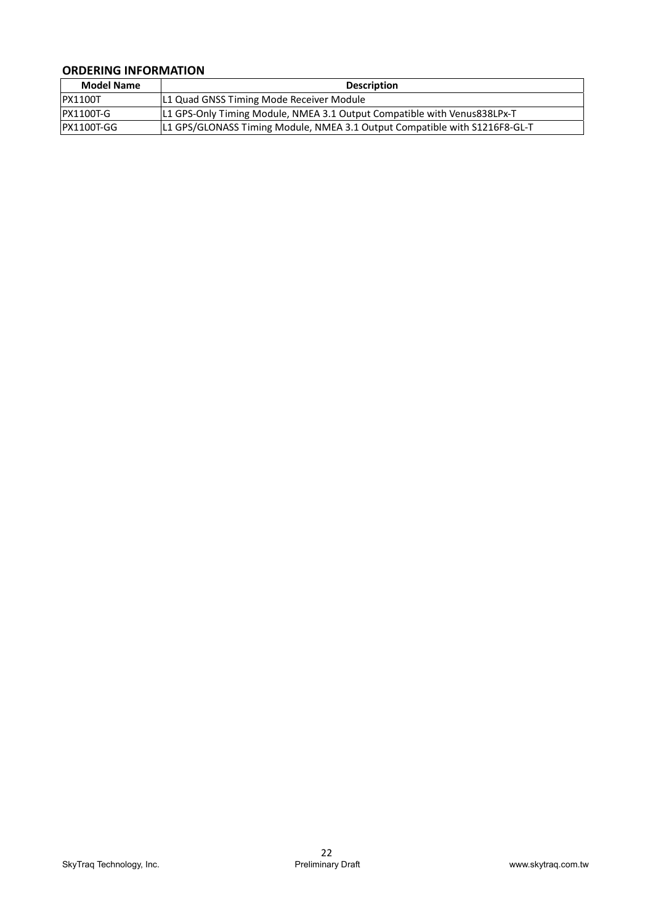# **ORDERING INFORMATION**

| <b>Model Name</b> | <b>Description</b>                                                         |
|-------------------|----------------------------------------------------------------------------|
| <b>PX1100T</b>    | L1 Quad GNSS Timing Mode Receiver Module                                   |
| PX1100T-G         | L1 GPS-Only Timing Module, NMEA 3.1 Output Compatible with Venus838LPx-T   |
| IPX1100T-GG       | L1 GPS/GLONASS Timing Module, NMEA 3.1 Output Compatible with S1216F8-GL-T |